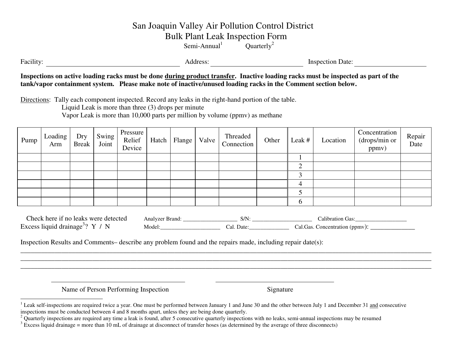# San Joaquin Valley Air Pollution Control District

Bulk Plant Leak Inspection Form

Semi-Annual<sup>1</sup> Quarterly<sup>2</sup>

Facility: Inspection Date: Address: Inspection Date:

**Inspections on active loading racks must be done during product transfer. Inactive loading racks must be inspected as part of the tank/vapor containment system. Please make note of inactive/unused loading racks in the Comment section below.** 

Directions: Tally each component inspected. Record any leaks in the right-hand portion of the table.

Liquid Leak is more than three (3) drops per minute

Vapor Leak is more than 10,000 parts per million by volume (ppmv) as methane

| Pump | Loading<br>Arm | Dry<br><b>Break</b> | Swing<br>Joint | Pressure<br>Relief<br>Device | Hatch | Flange | Valve | Threaded<br>Connection | Other | Leak # | Location | Concentration<br>(drops/min or<br>ppmv) | Repair<br>Date |
|------|----------------|---------------------|----------------|------------------------------|-------|--------|-------|------------------------|-------|--------|----------|-----------------------------------------|----------------|
|      |                |                     |                |                              |       |        |       |                        |       |        |          |                                         |                |
|      |                |                     |                |                              |       |        |       |                        |       |        |          |                                         |                |
|      |                |                     |                |                              |       |        |       |                        |       |        |          |                                         |                |
|      |                |                     |                |                              |       |        |       |                        |       | 4      |          |                                         |                |
|      |                |                     |                |                              |       |        |       |                        |       |        |          |                                         |                |
|      |                |                     |                |                              |       |        |       |                        |       | b      |          |                                         |                |

| ' were detected<br>`h≙∩l⁄<br>hara<br>no<br><b>Teaks</b> | Analyz<br>anc: | $\sim$<br>311 | alıbı<br>Gas                       |
|---------------------------------------------------------|----------------|---------------|------------------------------------|
| Exce<br>יום،                                            | Mode',         | Date<br>Lal.  | ppmy<br>:oncentra<br>اal<br>it1011 |

\_\_\_\_\_\_\_\_\_\_\_\_\_\_\_\_\_\_\_\_\_\_\_\_\_\_\_\_\_\_\_\_\_\_\_\_\_\_\_\_\_\_\_\_\_\_\_\_\_\_\_\_\_\_\_\_\_\_\_\_\_\_\_\_\_\_\_\_\_\_\_\_\_\_\_\_\_\_\_\_\_\_\_\_\_\_\_\_\_\_\_\_\_\_\_\_\_\_\_\_\_\_\_\_\_\_\_\_\_\_\_\_\_\_\_\_\_\_\_\_

Inspection Results and Comments– describe any problem found and the repairs made, including repair date(s):

Name of Person Performing Inspection Signature

<sup>&</sup>lt;sup>1</sup> Leak self-inspections are required twice a year. One must be performed between January 1 and June 30 and the other between July 1 and December 31 and consecutive inspections must be conducted between 4 and 8 months apart, unless they are being done quarterly.

 $2$  Quarterly inspections are required any time a leak is found, after 5 consecutive quarterly inspections with no leaks, semi-annual inspections may be resumed

 $3$  Excess liquid drainage = more than 10 mL of drainage at disconnect of transfer hoses (as determined by the average of three disconnects)